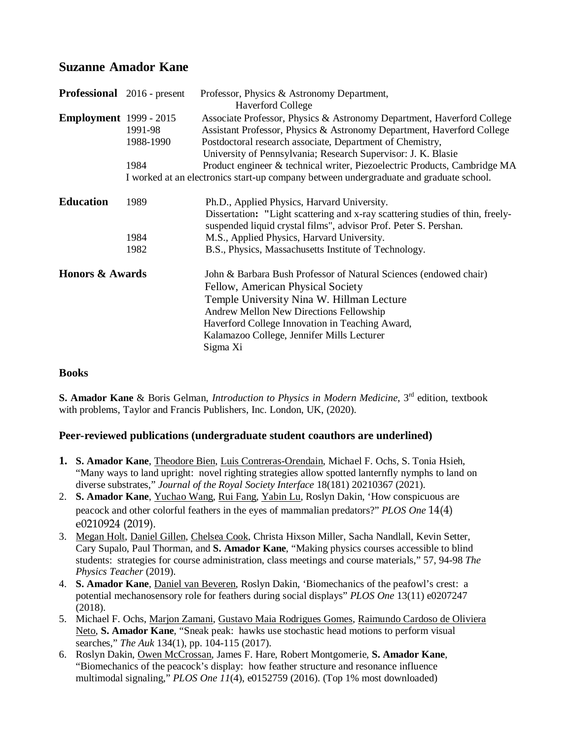# **Suzanne Amador Kane**

|                               | <b>Professional</b> 2016 - present                                                     | Professor, Physics & Astronomy Department,<br><b>Haverford College</b>                                                                                                                           |  |
|-------------------------------|----------------------------------------------------------------------------------------|--------------------------------------------------------------------------------------------------------------------------------------------------------------------------------------------------|--|
| <b>Employment</b> 1999 - 2015 | 1991-98                                                                                | Associate Professor, Physics & Astronomy Department, Haverford College<br>Assistant Professor, Physics & Astronomy Department, Haverford College                                                 |  |
|                               | 1988-1990                                                                              | Postdoctoral research associate, Department of Chemistry,<br>University of Pennsylvania; Research Supervisor: J. K. Blasie                                                                       |  |
|                               | 1984                                                                                   | Product engineer & technical writer, Piezoelectric Products, Cambridge MA                                                                                                                        |  |
|                               | I worked at an electronics start-up company between undergraduate and graduate school. |                                                                                                                                                                                                  |  |
| <b>Education</b>              | 1989                                                                                   | Ph.D., Applied Physics, Harvard University.<br>Dissertation: "Light scattering and x-ray scattering studies of thin, freely-<br>suspended liquid crystal films", advisor Prof. Peter S. Pershan. |  |
|                               | 1984                                                                                   | M.S., Applied Physics, Harvard University.                                                                                                                                                       |  |
|                               | 1982                                                                                   | B.S., Physics, Massachusetts Institute of Technology.                                                                                                                                            |  |
| <b>Honors &amp; Awards</b>    |                                                                                        | John & Barbara Bush Professor of Natural Sciences (endowed chair)                                                                                                                                |  |
|                               |                                                                                        | Fellow, American Physical Society                                                                                                                                                                |  |
|                               |                                                                                        | Temple University Nina W. Hillman Lecture                                                                                                                                                        |  |
|                               |                                                                                        | Andrew Mellon New Directions Fellowship                                                                                                                                                          |  |
|                               |                                                                                        | Haverford College Innovation in Teaching Award,                                                                                                                                                  |  |
|                               |                                                                                        | Kalamazoo College, Jennifer Mills Lecturer                                                                                                                                                       |  |
|                               |                                                                                        | Sigma Xi                                                                                                                                                                                         |  |

### **Books**

**S. Amador Kane** & Boris Gelman, *Introduction to Physics in Modern Medicine*, 3rd edition, textbook with problems, Taylor and Francis Publishers, Inc. London, UK, (2020).

### **Peer-reviewed publications (undergraduate student coauthors are underlined)**

- **1. S. Amador Kane**, Theodore Bien, Luis Contreras-Orendain, Michael F. Ochs, S. Tonia Hsieh, "Many ways to land upright: novel righting strategies allow spotted lanternfly nymphs to land on diverse substrates," *Journal of the Royal Society Interface* 18(181) 20210367 (2021).
- 2. **S. Amador Kane**, Yuchao Wang, Rui Fang, Yabin Lu, Roslyn Dakin, 'How conspicuous are peacock and other colorful feathers in the eyes of mammalian predators?" *PLOS One* 14(4) e0210924 (2019).
- 3. Megan Holt, Daniel Gillen, Chelsea Cook, Christa Hixson Miller, Sacha Nandlall, Kevin Setter, Cary Supalo, Paul Thorman, and **S. Amador Kane**, "Making physics courses accessible to blind students: strategies for course administration, class meetings and course materials," 57, 94-98 *The Physics Teacher* (2019).
- 4. **S. Amador Kane**, Daniel van Beveren, Roslyn Dakin, 'Biomechanics of the peafowl's crest: a potential mechanosensory role for feathers during social displays" *PLOS One* 13(11) e0207247 (2018).
- 5. Michael F. Ochs, Marjon Zamani, Gustavo Maia Rodrigues Gomes, Raimundo Cardoso de Oliviera Neto, **S. Amador Kane**, "Sneak peak: hawks use stochastic head motions to perform visual searches," *The Auk* 134(1), pp. 104-115 (2017).
- 6. Roslyn Dakin, Owen McCrossan, James F. Hare, Robert Montgomerie, **S. Amador Kane**, "Biomechanics of the peacock's display: how feather structure and resonance influence multimodal signaling," *PLOS One 11*(4), e0152759 (2016). (Top 1% most downloaded)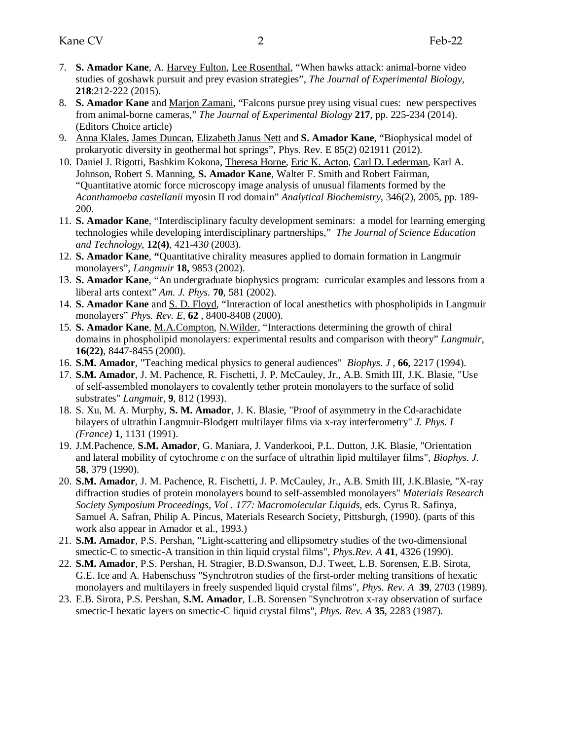- 7. **S. Amador Kane**, A. Harvey Fulton, Lee Rosenthal, "When hawks attack: animal-borne video studies of goshawk pursuit and prey evasion strategies", *The Journal of Experimental Biology,*  **218**:212-222 (2015).
- 8. **S. Amador Kane** and Marjon Zamani, "Falcons pursue prey using visual cues: new perspectives from animal-borne cameras," *The Journal of Experimental Biology* **217**, pp. 225-234 (2014). (Editors Choice article)
- 9. Anna Klales, James Duncan, Elizabeth Janus Nett and **S. Amador Kane**, "Biophysical model of prokaryotic diversity in geothermal hot springs", Phys. Rev. E 85(2) 021911 (2012).
- 10. Daniel J. Rigotti, Bashkim Kokona, Theresa Horne, Eric K. Acton, Carl D. Lederman, Karl A. Johnson, Robert S. Manning, **S. Amador Kane**, Walter F. Smith and Robert Fairman, "Quantitative atomic force microscopy image analysis of unusual filaments formed by the *Acanthamoeba castellanii* myosin II rod domain" *Analytical Biochemistry,* 346(2), 2005, pp. 189- 200.
- 11. **S. Amador Kane**, "Interdisciplinary faculty development seminars: a model for learning emerging technologies while developing interdisciplinary partnerships," *The Journal of Science Education and Technology*, **12(4)**, 421-43*0* (2003).
- 12. **S. Amador Kane**, **"**Quantitative chirality measures applied to domain formation in Langmuir monolayers", *Langmuir* **18,** 9853 (2002).
- 13. **S. Amador Kane**, "An undergraduate biophysics program: curricular examples and lessons from a liberal arts context" *Am. J. Phys.* **70**, 581 (2002).
- 14. **S. Amador Kane** and S. D. Floyd, "Interaction of local anesthetics with phospholipids in Langmuir monolayers" *Phys. Rev. E*, **62** , 8400-8408 (2000).
- 15. **S. Amador Kane**, M.A.Compton, N.Wilder, "Interactions determining the growth of chiral domains in phospholipid monolayers: experimental results and comparison with theory" *Langmuir*, **16(22)**, 8447-8455 (2000).
- 16. **S.M. Amador**, "Teaching medical physics to general audiences" *Biophys. J* , **66**, 2217 (1994).
- 17. **S.M. Amador**, J. M. Pachence, R. Fischetti, J. P. McCauley, Jr., A.B. Smith III, J.K. Blasie, "Use of self-assembled monolayers to covalently tether protein monolayers to the surface of solid substrates" *Langmui*r, **9**, 812 (1993).
- 18. S. Xu, M. A. Murphy, **S. M. Amador**, J. K. Blasie, "Proof of asymmetry in the Cd-arachidate bilayers of ultrathin Langmuir-Blodgett multilayer films via x-ray interferometry" *J. Phys. I (France)* **1**, 1131 (1991).
- 19. J.M.Pachence, **S.M. Amador**, G. Maniara, J. Vanderkooi, P.L. Dutton, J.K. Blasie, "Orientation and lateral mobility of cytochrome *c* on the surface of ultrathin lipid multilayer films", *Biophys. J.* **58**, 379 (1990).
- 20. **S.M. Amador**, J. M. Pachence, R. Fischetti, J. P. McCauley, Jr., A.B. Smith III, J.K.Blasie, "X-ray diffraction studies of protein monolayers bound to self-assembled monolayers" *Materials Research Society Symposium Proceedings, Vol . 177: Macromolecular Liquids*, eds. Cyrus R. Safinya, Samuel A. Safran, Philip A. Pincus, Materials Research Society, Pittsburgh, (1990). (parts of this work also appear in Amador et al., 1993.)
- 21. **S.M. Amador**, P.S. Pershan, "Light-scattering and ellipsometry studies of the two-dimensional smectic-C to smectic-A transition in thin liquid crystal films", *Phys.Rev. A* **41**, 4326 (1990).
- 22. **S.M. Amador**, P.S. Pershan, H. Stragier, B.D.Swanson, D.J. Tweet, L.B. Sorensen, E.B. Sirota, G.E. Ice and A. Habenschuss "Synchrotron studies of the first-order melting transitions of hexatic monolayers and multilayers in freely suspended liquid crystal films", *Phys. Rev. A* **39**, 2703 (1989).
- 23. E.B. Sirota, P.S. Pershan, **S.M. Amador**, L.B. Sorensen "Synchrotron x-ray observation of surface smectic-I hexatic layers on smectic-C liquid crystal films", *Phys. Rev. A* **35**, 2283 (1987).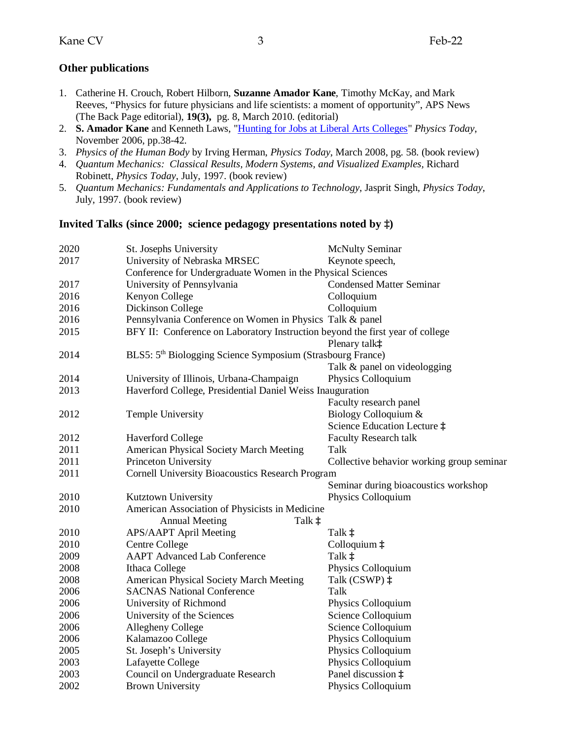### **Other publications**

- 1. Catherine H. Crouch, Robert Hilborn, **Suzanne Amador Kane**, Timothy McKay, and Mark Reeves, "Physics for future physicians and life scientists: a moment of opportunity", APS News (The Back Page editorial), **19(3),** pg. 8, March 2010. (editorial)
- 2. **S. Amador Kane** and Kenneth Laws, ["Hunting for Jobs at Liberal Arts Colleges"](http://www.aip.org/careersvc/) *Physics Today*, November 2006, pp.38-42.
- 3. *Physics of the Human Body* by Irving Herman, *Physics Today*, March 2008, pg. 58. (book review)
- 4. *Quantum Mechanics: Classical Results, Modern Systems, and Visualized Examples,* Richard Robinett, *Physics Today*, July, 1997. (book review)
- 5. *Quantum Mechanics: Fundamentals and Applications to Technology*, Jasprit Singh, *Physics Today*, July, 1997. (book review)

### **Invited Talks (since 2000; science pedagogy presentations noted by ‡)**

| 2020 | St. Josephs University                                                        | <b>McNulty Seminar</b>                    |  |  |  |
|------|-------------------------------------------------------------------------------|-------------------------------------------|--|--|--|
| 2017 | University of Nebraska MRSEC                                                  | Keynote speech,                           |  |  |  |
|      | Conference for Undergraduate Women in the Physical Sciences                   |                                           |  |  |  |
| 2017 | University of Pennsylvania                                                    | <b>Condensed Matter Seminar</b>           |  |  |  |
| 2016 | Kenyon College                                                                | Colloquium                                |  |  |  |
| 2016 | Dickinson College                                                             | Colloquium                                |  |  |  |
| 2016 | Pennsylvania Conference on Women in Physics Talk & panel                      |                                           |  |  |  |
| 2015 | BFY II: Conference on Laboratory Instruction beyond the first year of college |                                           |  |  |  |
|      |                                                                               | Plenary talk‡                             |  |  |  |
| 2014 | BLS5: 5 <sup>th</sup> Biologging Science Symposium (Strasbourg France)        |                                           |  |  |  |
|      |                                                                               | Talk & panel on videologging              |  |  |  |
| 2014 | University of Illinois, Urbana-Champaign                                      | Physics Colloquium                        |  |  |  |
| 2013 | Haverford College, Presidential Daniel Weiss Inauguration                     |                                           |  |  |  |
|      |                                                                               | Faculty research panel                    |  |  |  |
| 2012 | Temple University                                                             | Biology Colloquium &                      |  |  |  |
|      |                                                                               | Science Education Lecture $\ddagger$      |  |  |  |
| 2012 | <b>Haverford College</b>                                                      | <b>Faculty Research talk</b>              |  |  |  |
| 2011 | American Physical Society March Meeting                                       | Talk                                      |  |  |  |
| 2011 | Princeton University                                                          | Collective behavior working group seminar |  |  |  |
| 2011 | <b>Cornell University Bioacoustics Research Program</b>                       |                                           |  |  |  |
|      |                                                                               | Seminar during bioacoustics workshop      |  |  |  |
| 2010 | Kutztown University                                                           | Physics Colloquium                        |  |  |  |
| 2010 | American Association of Physicists in Medicine                                |                                           |  |  |  |
|      | <b>Annual Meeting</b><br>Talk ‡                                               |                                           |  |  |  |
| 2010 | APS/AAPT April Meeting                                                        | Talk $\ddagger$                           |  |  |  |
| 2010 | <b>Centre College</b>                                                         | Colloquium $\ddagger$                     |  |  |  |
| 2009 | <b>AAPT</b> Advanced Lab Conference                                           | Talk ‡                                    |  |  |  |
| 2008 | Ithaca College                                                                | Physics Colloquium                        |  |  |  |
| 2008 | American Physical Society March Meeting                                       | Talk (CSWP) $\ddagger$                    |  |  |  |
| 2006 | <b>SACNAS National Conference</b>                                             | Talk                                      |  |  |  |
| 2006 | University of Richmond                                                        | Physics Colloquium                        |  |  |  |
| 2006 | University of the Sciences                                                    | Science Colloquium                        |  |  |  |
| 2006 | Allegheny College                                                             | Science Colloquium                        |  |  |  |
| 2006 | Kalamazoo College                                                             | Physics Colloquium                        |  |  |  |
| 2005 | St. Joseph's University                                                       | Physics Colloquium                        |  |  |  |
| 2003 | Lafayette College                                                             | Physics Colloquium                        |  |  |  |
| 2003 | Council on Undergraduate Research                                             | Panel discussion ‡                        |  |  |  |
| 2002 | <b>Brown University</b>                                                       | Physics Colloquium                        |  |  |  |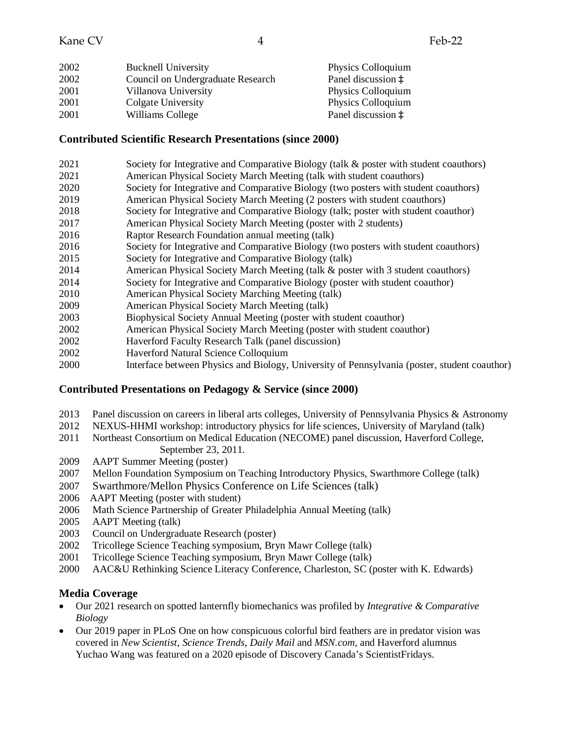| 2002 | <b>Bucknell University</b>        | Physics Colloquium          |
|------|-----------------------------------|-----------------------------|
| 2002 | Council on Undergraduate Research | Panel discussion $\ddagger$ |
| 2001 | Villanova University              | Physics Colloquium          |
| 2001 | Colgate University                | Physics Colloquium          |
| 2001 | Williams College                  | Panel discussion $\ddagger$ |

#### **Contributed Scientific Research Presentations (since 2000)**

- 2021 Society for Integrative and Comparative Biology (talk & poster with student coauthors)
- 2021 American Physical Society March Meeting (talk with student coauthors)
- 2020 Society for Integrative and Comparative Biology (two posters with student coauthors)
- 2019 American Physical Society March Meeting (2 posters with student coauthors)
- 2018 Society for Integrative and Comparative Biology (talk; poster with student coauthor)
- 2017 American Physical Society March Meeting (poster with 2 students)
- 2016 Raptor Research Foundation annual meeting (talk)
- 2016 Society for Integrative and Comparative Biology (two posters with student coauthors)
- 2015 Society for Integrative and Comparative Biology (talk)
- 2014 American Physical Society March Meeting (talk & poster with 3 student coauthors)
- 2014 Society for Integrative and Comparative Biology (poster with student coauthor)
- 2010 American Physical Society Marching Meeting (talk)
- 2009 American Physical Society March Meeting (talk)
- 2003 Biophysical Society Annual Meeting (poster with student coauthor)
- 2002 American Physical Society March Meeting (poster with student coauthor)
- 2002 Haverford Faculty Research Talk (panel discussion)
- 2002 Haverford Natural Science Colloquium
- 2000 Interface between Physics and Biology, University of Pennsylvania (poster, student coauthor)

## **Contributed Presentations on Pedagogy & Service (since 2000)**

- 2013 Panel discussion on careers in liberal arts colleges, University of Pennsylvania Physics & Astronomy
- 2012 NEXUS-HHMI workshop: introductory physics for life sciences, University of Maryland (talk)
- 2011 Northeast Consortium on Medical Education (NECOME) panel discussion, Haverford College, September 23, 2011.
- 2009 AAPT Summer Meeting (poster)
- 2007 Mellon Foundation Symposium on Teaching Introductory Physics, Swarthmore College (talk)
- 2007 Swarthmore/Mellon Physics Conference on Life Sciences (talk)
- 2006 AAPT Meeting (poster with student)
- 2006 Math Science Partnership of Greater Philadelphia Annual Meeting (talk)
- 2005 AAPT Meeting (talk)
- 2003 Council on Undergraduate Research (poster)
- 2002 Tricollege Science Teaching symposium, Bryn Mawr College (talk)
- 2001 Tricollege Science Teaching symposium, Bryn Mawr College (talk)
- 2000 AAC&U Rethinking Science Literacy Conference, Charleston, SC (poster with K. Edwards)

## **Media Coverage**

- Our 2021 research on spotted lanternfly biomechanics was profiled by *Integrative & Comparative Biology*
- Our 2019 paper in PLoS One on how conspicuous colorful bird feathers are in predator vision was covered in *New Scientist*, *Science Trends*, *Daily Mail* and *MSN.com*, and Haverford alumnus Yuchao Wang was featured on a 2020 episode of Discovery Canada's ScientistFridays.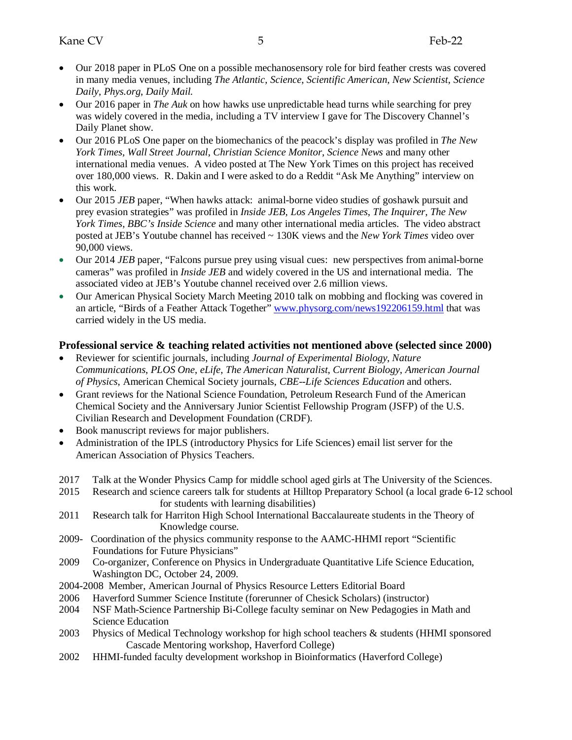- Our 2018 paper in PLoS One on a possible mechanosensory role for bird feather crests was covered in many media venues, including *The Atlantic*, *Science*, *Scientific American*, *New Scientist*, *Science Daily*, *Phys.org*, *Daily Mail.*
- Our 2016 paper in *The Auk* on how hawks use unpredictable head turns while searching for prey was widely covered in the media, including a TV interview I gave for The Discovery Channel's Daily Planet show.
- Our 2016 PLoS One paper on the biomechanics of the peacock's display was profiled in *The New York Times*, *Wall Street Journal*, *Christian Science Monitor*, *Science News* and many other international media venues. A video posted at The New York Times on this project has received over 180,000 views. R. Dakin and I were asked to do a Reddit "Ask Me Anything" interview on this work.
- Our 2015 *JEB* paper, "When hawks attack: animal-borne video studies of goshawk pursuit and prey evasion strategies" was profiled in *Inside JEB, Los Angeles Times*, *The Inquirer*, *The New York Times*, *BBC's Inside Science* and many other international media articles. The video abstract posted at JEB's Youtube channel has received ~ 130K views and the *New York Times* video over 90,000 views.
- Our 2014 *JEB* paper, "Falcons pursue prey using visual cues: new perspectives from animal-borne cameras" was profiled in *Inside JEB* and widely covered in the US and international media. The associated video at JEB's Youtube channel received over 2.6 million views.
- Our American Physical Society March Meeting 2010 talk on mobbing and flocking was covered in an article, "Birds of a Feather Attack Together" [www.physorg.com/news192206159.html](http://www.physorg.com/news192206159.html) that was carried widely in the US media.

### **Professional service & teaching related activities not mentioned above (selected since 2000)**

- Reviewer for scientific journals, including *Journal of Experimental Biology*, *Nature Communications*, *PLOS One*, *eLife*, *The American Naturalist*, *Current Biology*, *American Journal of Physics*, American Chemical Society journals, *CBE--Life Sciences Education* and others.
- Grant reviews for the National Science Foundation, Petroleum Research Fund of the American Chemical Society and the Anniversary Junior Scientist Fellowship Program (JSFP) of the U.S. Civilian Research and Development Foundation (CRDF).
- Book manuscript reviews for major publishers.
- Administration of the IPLS (introductory Physics for Life Sciences) email list server for the American Association of Physics Teachers.
- 2017 Talk at the Wonder Physics Camp for middle school aged girls at The University of the Sciences.
- 2015 Research and science careers talk for students at Hilltop Preparatory School (a local grade 6-12 school for students with learning disabilities)
- 2011 Research talk for Harriton High School International Baccalaureate students in the Theory of Knowledge course.
- 2009- Coordination of the physics community response to the AAMC-HHMI report "Scientific Foundations for Future Physicians"
- 2009 Co-organizer, Conference on Physics in Undergraduate Quantitative Life Science Education, Washington DC, October 24, 2009.
- 2004-2008 Member, American Journal of Physics Resource Letters Editorial Board
- 2006 Haverford Summer Science Institute (forerunner of Chesick Scholars) (instructor)
- 2004 NSF Math-Science Partnership Bi-College faculty seminar on New Pedagogies in Math and Science Education
- 2003 Physics of Medical Technology workshop for high school teachers & students (HHMI sponsored Cascade Mentoring workshop, Haverford College)
- 2002 HHMI-funded faculty development workshop in Bioinformatics (Haverford College)